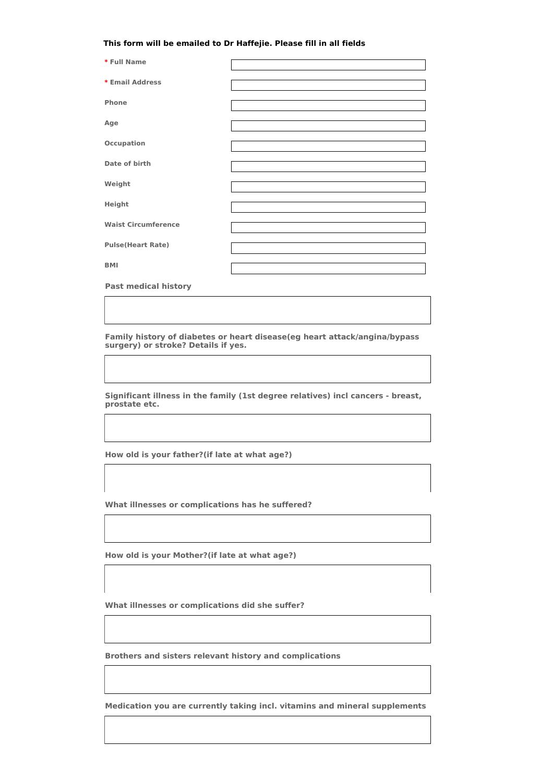## **This form will be emailed to Dr Haffejie. Please fill in all fields**

| * Full Name                |  |
|----------------------------|--|
| * Email Address            |  |
| Phone                      |  |
| Age                        |  |
| <b>Occupation</b>          |  |
| Date of birth              |  |
| Weight                     |  |
| Height                     |  |
| <b>Waist Circumference</b> |  |
| <b>Pulse(Heart Rate)</b>   |  |
| <b>BMI</b>                 |  |
|                            |  |

**Past medical history**

**Family history of diabetes or heart disease(eg heart attack/angina/bypass surgery) or stroke? Details if yes.**

**Significant illness in the family (1st degree relatives) incl cancers - breast, prostate etc.**

**How old is your father?(if late at what age?)**

**What illnesses or complications has he suffered?**

**How old is your Mother?(if late at what age?)**

**What illnesses or complications did she suffer?**

**Brothers and sisters relevant history and complications**

**Medication you are currently taking incl. vitamins and mineral supplements**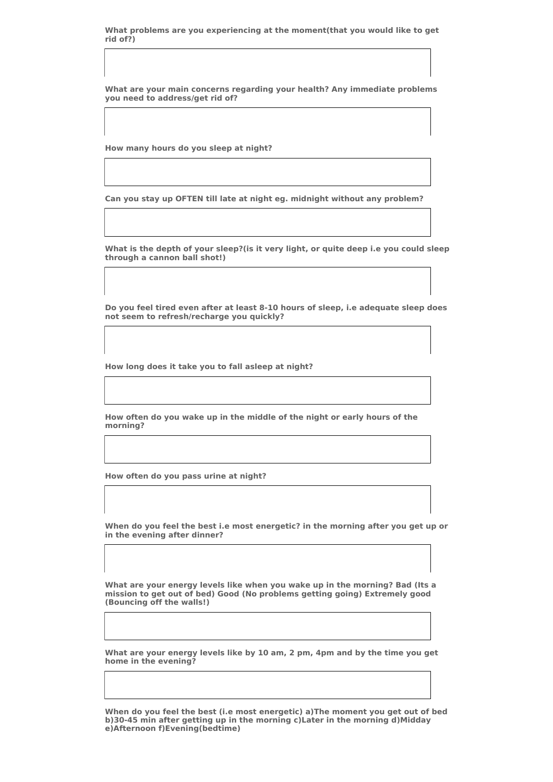**What problems are you experiencing at the moment(that you would like to get rid of?)**

**What are your main concerns regarding your health? Any immediate problems you need to address/get rid of?**

**How many hours do you sleep at night?**

**Can you stay up OFTEN till late at night eg. midnight without any problem?**

**What is the depth of your sleep?(is it very light, or quite deep i.e you could sleep through a cannon ball shot!)**

**Do you feel tired even after at least 8-10 hours of sleep, i.e adequate sleep does not seem to refresh/recharge you quickly?**

**How long does it take you to fall asleep at night?**

**How often do you wake up in the middle of the night or early hours of the morning?**

**How often do you pass urine at night?**

**When do you feel the best i.e most energetic? in the morning after you get up or in the evening after dinner?**

**What are your energy levels like when you wake up in the morning? Bad (Its a mission to get out of bed) Good (No problems getting going) Extremely good (Bouncing off the walls!)**

**What are your energy levels like by 10 am, 2 pm, 4pm and by the time you get home in the evening?**

**When do you feel the best (i.e most energetic) a)The moment you get out of bed b)30-45 min after getting up in the morning c)Later in the morning d)Midday e)Afternoon f)Evening(bedtime)**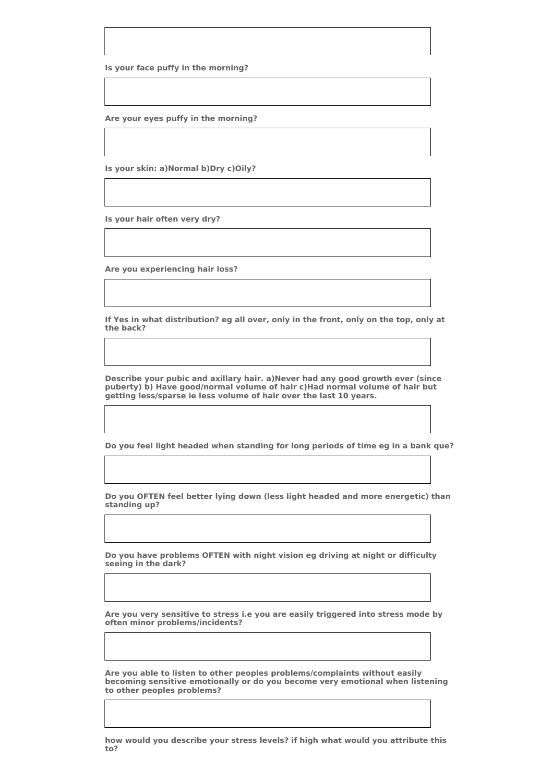**Is your face puffy in the morning?**

**Are your eyes puffy in the morning?**

**Is your skin: a)Normal b)Dry c)Oily?**

**Is your hair often very dry?**

**Are you experiencing hair loss?**

**If Yes in what distribution? eg all over, only in the front, only on the top, only at the back?**

**Describe your pubic and axillary hair. a)Never had any good growth ever (since puberty) b) Have good/normal volume of hair c)Had normal volume of hair but getting less/sparse ie less volume of hair over the last 10 years.**

**Do you feel light headed when standing for long periods of time eg in a bank que?**

**Do you OFTEN feel better lying down (less light headed and more energetic) than standing up?**

**Do you have problems OFTEN with night vision eg driving at night or difficulty seeing in the dark?**

**Are you very sensitive to stress i.e you are easily triggered into stress mode by often minor problems/incidents?**

**Are you able to listen to other peoples problems/complaints without easily becoming sensitive emotionally or do you become very emotional when listening to other peoples problems?**

**how would you describe your stress levels? if high what would you attribute this to?**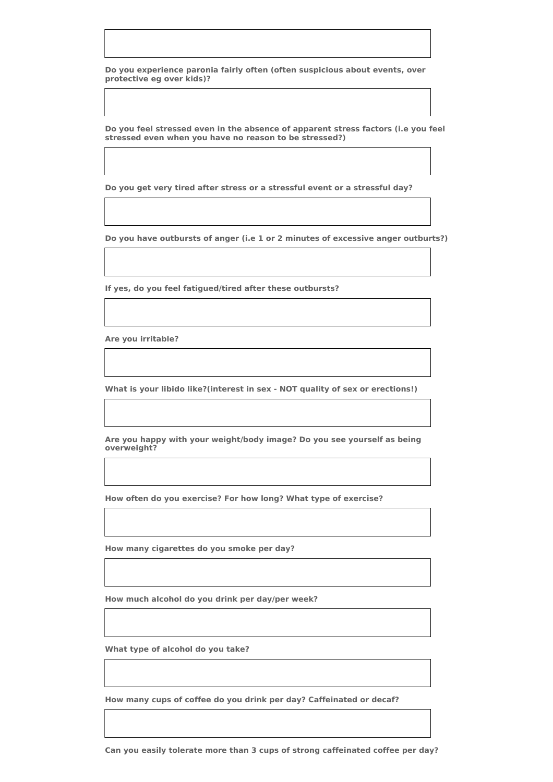**Do you experience paronia fairly often (often suspicious about events, over protective eg over kids)?**

**Do you feel stressed even in the absence of apparent stress factors (i.e you feel stressed even when you have no reason to be stressed?)**

**Do you get very tired after stress or a stressful event or a stressful day?**

**Do you have outbursts of anger (i.e 1 or 2 minutes of excessive anger outburts?)**

**If yes, do you feel fatigued/tired after these outbursts?**

**Are you irritable?**

**What is your libido like?(interest in sex - NOT quality of sex or erections!)**

**Are you happy with your weight/body image? Do you see yourself as being overweight?**

**How often do you exercise? For how long? What type of exercise?**

**How many cigarettes do you smoke per day?**

**How much alcohol do you drink per day/per week?**

**What type of alcohol do you take?**

**How many cups of coffee do you drink per day? Caffeinated or decaf?**

**Can you easily tolerate more than 3 cups of strong caffeinated coffee per day?**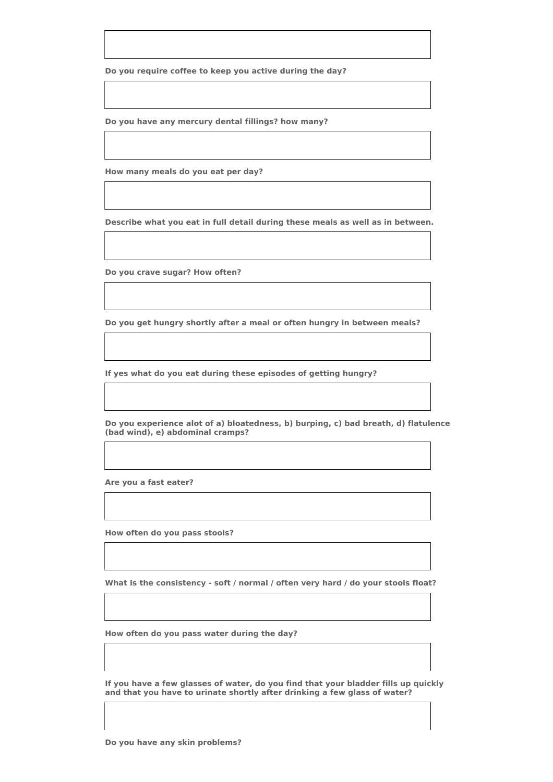**Do you require coffee to keep you active during the day?**

**Do you have any mercury dental fillings? how many?**

**How many meals do you eat per day?**

**Describe what you eat in full detail during these meals as well as in between.**

**Do you crave sugar? How often?**

**Do you get hungry shortly after a meal or often hungry in between meals?**

**If yes what do you eat during these episodes of getting hungry?**

**Do you experience alot of a) bloatedness, b) burping, c) bad breath, d) flatulence (bad wind), e) abdominal cramps?**

**Are you a fast eater?**

**How often do you pass stools?**

**What is the consistency - soft / normal / often very hard / do your stools float?**

**How often do you pass water during the day?**

**If you have a few glasses of water, do you find that your bladder fills up quickly and that you have to urinate shortly after drinking a few glass of water?**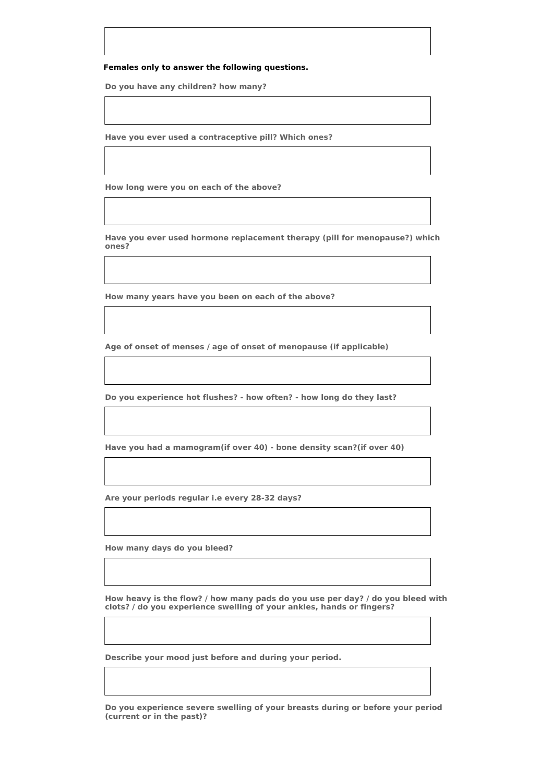## **Females only to answer the following questions.**

**Do you have any children? how many?**

**Have you ever used a contraceptive pill? Which ones?**

**How long were you on each of the above?**

**Have you ever used hormone replacement therapy (pill for menopause?) which ones?**

**How many years have you been on each of the above?**

**Age of onset of menses / age of onset of menopause (if applicable)**

**Do you experience hot flushes? - how often? - how long do they last?**

**Have you had a mamogram(if over 40) - bone density scan?(if over 40)**

**Are your periods regular i.e every 28-32 days?**

**How many days do you bleed?**

**How heavy is the flow? / how many pads do you use per day? / do you bleed with clots? / do you experience swelling of your ankles, hands or fingers?**

**Describe your mood just before and during your period.**

**Do you experience severe swelling of your breasts during or before your period (current or in the past)?**